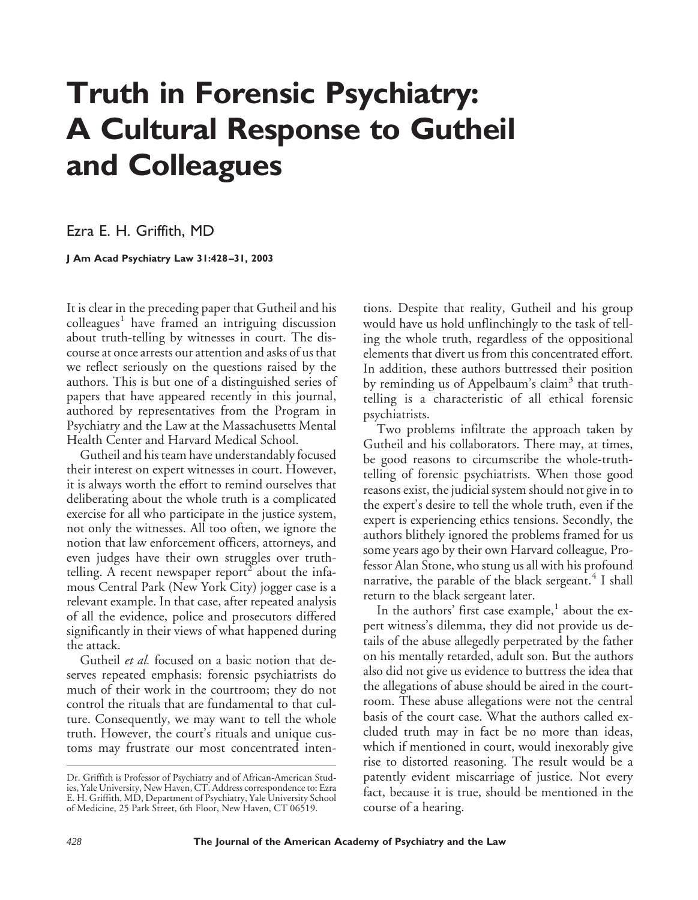## **Truth in Forensic Psychiatry: A Cultural Response to Gutheil and Colleagues**

Ezra E. H. Griffith, MD

**J Am Acad Psychiatry Law 31:428–31, 2003**

It is clear in the preceding paper that Gutheil and his colleagues<sup>1</sup> have framed an intriguing discussion about truth-telling by witnesses in court. The discourse at once arrests our attention and asks of us that we reflect seriously on the questions raised by the authors. This is but one of a distinguished series of papers that have appeared recently in this journal, authored by representatives from the Program in Psychiatry and the Law at the Massachusetts Mental Health Center and Harvard Medical School.

Gutheil and his team have understandably focused their interest on expert witnesses in court. However, it is always worth the effort to remind ourselves that deliberating about the whole truth is a complicated exercise for all who participate in the justice system, not only the witnesses. All too often, we ignore the notion that law enforcement officers, attorneys, and even judges have their own struggles over truthtelling. A recent newspaper report<sup>2</sup> about the infamous Central Park (New York City) jogger case is a relevant example. In that case, after repeated analysis of all the evidence, police and prosecutors differed significantly in their views of what happened during the attack.

Gutheil *et al.* focused on a basic notion that deserves repeated emphasis: forensic psychiatrists do much of their work in the courtroom; they do not control the rituals that are fundamental to that culture. Consequently, we may want to tell the whole truth. However, the court's rituals and unique customs may frustrate our most concentrated inten-

tions. Despite that reality, Gutheil and his group would have us hold unflinchingly to the task of telling the whole truth, regardless of the oppositional elements that divert us from this concentrated effort. In addition, these authors buttressed their position by reminding us of Appelbaum's claim<sup>3</sup> that truthtelling is a characteristic of all ethical forensic psychiatrists.

Two problems infiltrate the approach taken by Gutheil and his collaborators. There may, at times, be good reasons to circumscribe the whole-truthtelling of forensic psychiatrists. When those good reasons exist, the judicial system should not give in to the expert's desire to tell the whole truth, even if the expert is experiencing ethics tensions. Secondly, the authors blithely ignored the problems framed for us some years ago by their own Harvard colleague, Professor Alan Stone, who stung us all with his profound narrative, the parable of the black sergeant.<sup>4</sup> I shall return to the black sergeant later.

In the authors' first case example, $<sup>1</sup>$  about the ex-</sup> pert witness's dilemma, they did not provide us details of the abuse allegedly perpetrated by the father on his mentally retarded, adult son. But the authors also did not give us evidence to buttress the idea that the allegations of abuse should be aired in the courtroom. These abuse allegations were not the central basis of the court case. What the authors called excluded truth may in fact be no more than ideas, which if mentioned in court, would inexorably give rise to distorted reasoning. The result would be a patently evident miscarriage of justice. Not every fact, because it is true, should be mentioned in the course of a hearing.

Dr. Griffith is Professor of Psychiatry and of African-American Studies, Yale University, New Haven, CT. Address correspondence to: Ezra E. H. Griffith, MD, Department of Psychiatry, Yale University School of Medicine, 25 Park Street, 6th Floor, New Haven, CT 06519.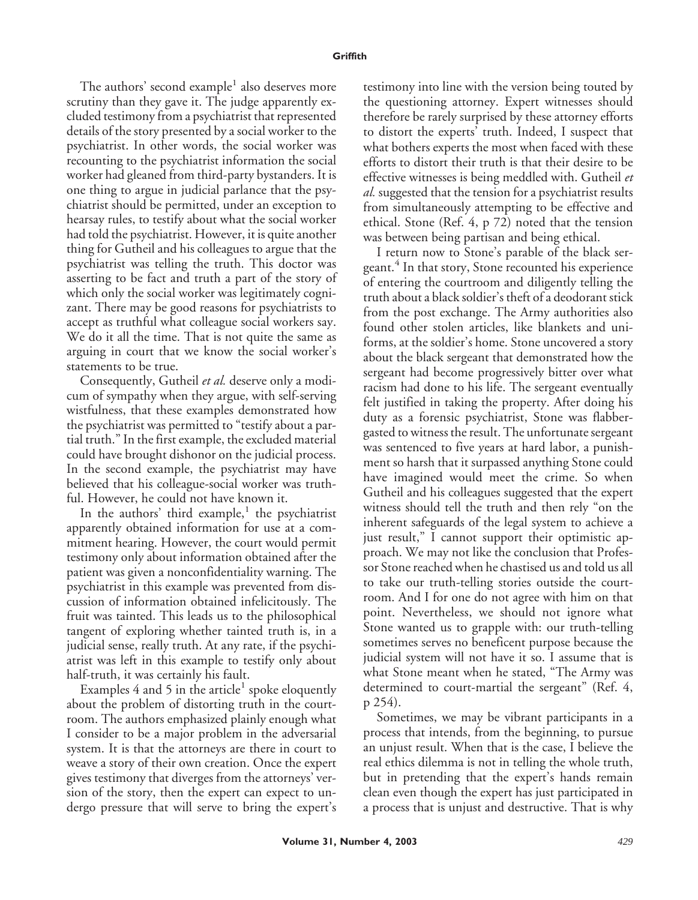The authors' second example<sup>1</sup> also deserves more scrutiny than they gave it. The judge apparently excluded testimony from a psychiatrist that represented details of the story presented by a social worker to the psychiatrist. In other words, the social worker was recounting to the psychiatrist information the social worker had gleaned from third-party bystanders. It is one thing to argue in judicial parlance that the psychiatrist should be permitted, under an exception to hearsay rules, to testify about what the social worker had told the psychiatrist. However, it is quite another thing for Gutheil and his colleagues to argue that the psychiatrist was telling the truth. This doctor was asserting to be fact and truth a part of the story of which only the social worker was legitimately cognizant. There may be good reasons for psychiatrists to accept as truthful what colleague social workers say. We do it all the time. That is not quite the same as arguing in court that we know the social worker's statements to be true.

Consequently, Gutheil *et al.* deserve only a modicum of sympathy when they argue, with self-serving wistfulness, that these examples demonstrated how the psychiatrist was permitted to "testify about a partial truth." In the first example, the excluded material could have brought dishonor on the judicial process. In the second example, the psychiatrist may have believed that his colleague-social worker was truthful. However, he could not have known it.

In the authors' third example, $<sup>1</sup>$  the psychiatrist</sup> apparently obtained information for use at a commitment hearing. However, the court would permit testimony only about information obtained after the patient was given a nonconfidentiality warning. The psychiatrist in this example was prevented from discussion of information obtained infelicitously. The fruit was tainted. This leads us to the philosophical tangent of exploring whether tainted truth is, in a judicial sense, really truth. At any rate, if the psychiatrist was left in this example to testify only about half-truth, it was certainly his fault.

Examples 4 and 5 in the article<sup>1</sup> spoke eloquently about the problem of distorting truth in the courtroom. The authors emphasized plainly enough what I consider to be a major problem in the adversarial system. It is that the attorneys are there in court to weave a story of their own creation. Once the expert gives testimony that diverges from the attorneys' version of the story, then the expert can expect to undergo pressure that will serve to bring the expert's testimony into line with the version being touted by the questioning attorney. Expert witnesses should therefore be rarely surprised by these attorney efforts to distort the experts' truth. Indeed, I suspect that what bothers experts the most when faced with these efforts to distort their truth is that their desire to be effective witnesses is being meddled with. Gutheil *et al.* suggested that the tension for a psychiatrist results from simultaneously attempting to be effective and ethical. Stone (Ref. 4, p 72) noted that the tension was between being partisan and being ethical.

I return now to Stone's parable of the black sergeant.<sup>4</sup> In that story, Stone recounted his experience of entering the courtroom and diligently telling the truth about a black soldier's theft of a deodorant stick from the post exchange. The Army authorities also found other stolen articles, like blankets and uniforms, at the soldier's home. Stone uncovered a story about the black sergeant that demonstrated how the sergeant had become progressively bitter over what racism had done to his life. The sergeant eventually felt justified in taking the property. After doing his duty as a forensic psychiatrist, Stone was flabbergasted to witness the result. The unfortunate sergeant was sentenced to five years at hard labor, a punishment so harsh that it surpassed anything Stone could have imagined would meet the crime. So when Gutheil and his colleagues suggested that the expert witness should tell the truth and then rely "on the inherent safeguards of the legal system to achieve a just result," I cannot support their optimistic approach. We may not like the conclusion that Professor Stone reached when he chastised us and told us all to take our truth-telling stories outside the courtroom. And I for one do not agree with him on that point. Nevertheless, we should not ignore what Stone wanted us to grapple with: our truth-telling sometimes serves no beneficent purpose because the judicial system will not have it so. I assume that is what Stone meant when he stated, "The Army was determined to court-martial the sergeant" (Ref. 4, p 254).

Sometimes, we may be vibrant participants in a process that intends, from the beginning, to pursue an unjust result. When that is the case, I believe the real ethics dilemma is not in telling the whole truth, but in pretending that the expert's hands remain clean even though the expert has just participated in a process that is unjust and destructive. That is why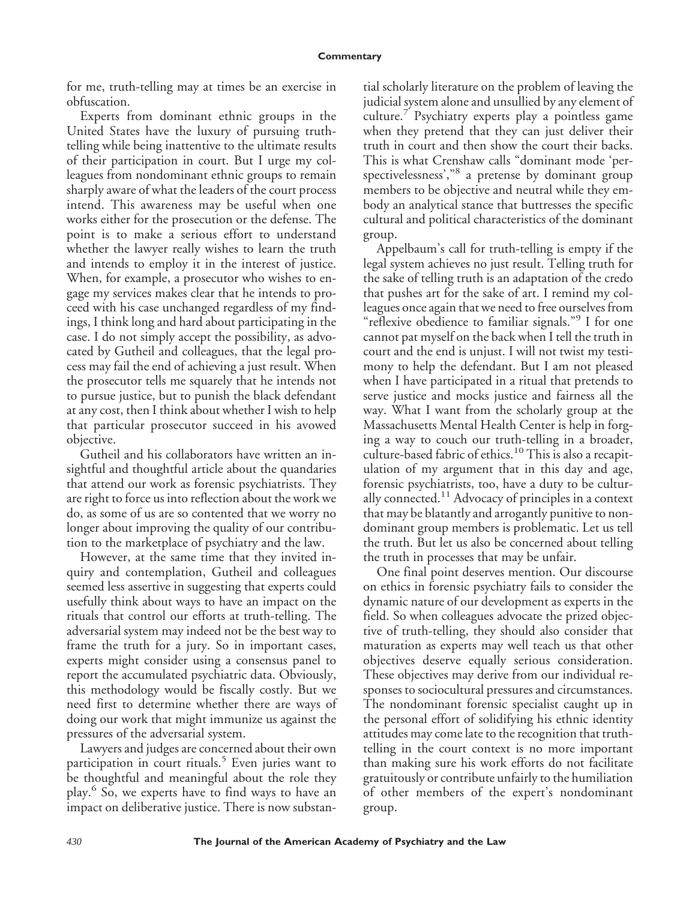for me, truth-telling may at times be an exercise in obfuscation.

Experts from dominant ethnic groups in the United States have the luxury of pursuing truthtelling while being inattentive to the ultimate results of their participation in court. But I urge my colleagues from nondominant ethnic groups to remain sharply aware of what the leaders of the court process intend. This awareness may be useful when one works either for the prosecution or the defense. The point is to make a serious effort to understand whether the lawyer really wishes to learn the truth and intends to employ it in the interest of justice. When, for example, a prosecutor who wishes to engage my services makes clear that he intends to proceed with his case unchanged regardless of my findings, I think long and hard about participating in the case. I do not simply accept the possibility, as advocated by Gutheil and colleagues, that the legal process may fail the end of achieving a just result. When the prosecutor tells me squarely that he intends not to pursue justice, but to punish the black defendant at any cost, then I think about whether I wish to help that particular prosecutor succeed in his avowed objective.

Gutheil and his collaborators have written an insightful and thoughtful article about the quandaries that attend our work as forensic psychiatrists. They are right to force us into reflection about the work we do, as some of us are so contented that we worry no longer about improving the quality of our contribution to the marketplace of psychiatry and the law.

However, at the same time that they invited inquiry and contemplation, Gutheil and colleagues seemed less assertive in suggesting that experts could usefully think about ways to have an impact on the rituals that control our efforts at truth-telling. The adversarial system may indeed not be the best way to frame the truth for a jury. So in important cases, experts might consider using a consensus panel to report the accumulated psychiatric data. Obviously, this methodology would be fiscally costly. But we need first to determine whether there are ways of doing our work that might immunize us against the pressures of the adversarial system.

Lawyers and judges are concerned about their own participation in court rituals.<sup>5</sup> Even juries want to be thoughtful and meaningful about the role they play.<sup>6</sup> So, we experts have to find ways to have an impact on deliberative justice. There is now substantial scholarly literature on the problem of leaving the judicial system alone and unsullied by any element of culture.<sup>7</sup> Psychiatry experts play a pointless game when they pretend that they can just deliver their truth in court and then show the court their backs. This is what Crenshaw calls "dominant mode 'perspectivelessness'," <sup>8</sup> a pretense by dominant group members to be objective and neutral while they embody an analytical stance that buttresses the specific cultural and political characteristics of the dominant group.

Appelbaum's call for truth-telling is empty if the legal system achieves no just result. Telling truth for the sake of telling truth is an adaptation of the credo that pushes art for the sake of art. I remind my colleagues once again that we need to free ourselves from "reflexive obedience to familiar signals." <sup>9</sup> I for one cannot pat myself on the back when I tell the truth in court and the end is unjust. I will not twist my testimony to help the defendant. But I am not pleased when I have participated in a ritual that pretends to serve justice and mocks justice and fairness all the way. What I want from the scholarly group at the Massachusetts Mental Health Center is help in forging a way to couch our truth-telling in a broader, culture-based fabric of ethics.<sup>10</sup> This is also a recapitulation of my argument that in this day and age, forensic psychiatrists, too, have a duty to be culturally connected.<sup>11</sup> Advocacy of principles in a context that may be blatantly and arrogantly punitive to nondominant group members is problematic. Let us tell the truth. But let us also be concerned about telling the truth in processes that may be unfair.

One final point deserves mention. Our discourse on ethics in forensic psychiatry fails to consider the dynamic nature of our development as experts in the field. So when colleagues advocate the prized objective of truth-telling, they should also consider that maturation as experts may well teach us that other objectives deserve equally serious consideration. These objectives may derive from our individual responses to sociocultural pressures and circumstances. The nondominant forensic specialist caught up in the personal effort of solidifying his ethnic identity attitudes may come late to the recognition that truthtelling in the court context is no more important than making sure his work efforts do not facilitate gratuitously or contribute unfairly to the humiliation of other members of the expert's nondominant group.